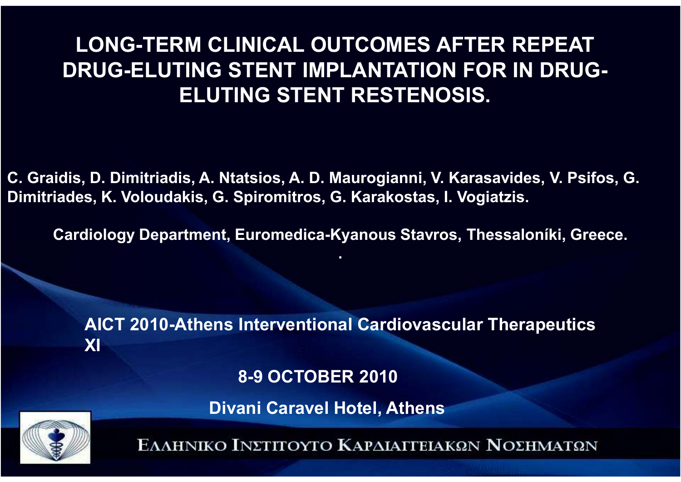#### **LONG-TERM CLINICAL OUTCOMES AFTER REPEAT DRUG-ELUTING STENT IMPLANTATION FOR IN DRUG-ELUTING STENT RESTENOSIS.**

**C. Graidis, D. Dimitriadis, A. Ntatsios, A. D. Maurogianni, V. Karasavides, V. Psifos, G. Dimitriades, K. Voloudakis, G. Spiromitros, G. Karakostas, I. Vogiatzis.**

 $\bf{Cardiology Department, European: Kyanous Stavros, Thessaloníki, Greece.$ 

**.**

**AICT 2010-Athens Interventional Cardiovascular Therapeutics XI**

**8-9 OCTOBER <sup>2010</sup>**

**Divani Caravel Hotel, Αthens**

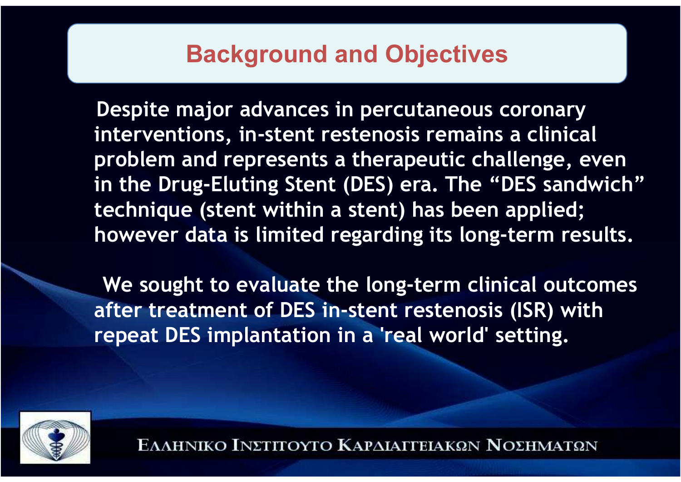#### **Background and Objectives**

**Despite major advances in percutaneous coronary interventions, in-stent restenosis remains a clinical problem and represents a therapeutic challenge, even in the Drug-Eluting Stent (DES) era. The "DES sandwich" technique (stent within a stent) has been applied; however data is limited regarding its long-term results.**

**We sought to evaluate the long-term clinical outcomes after treatment of DES in-stent restenosis (ISR) with repeat DES implantation in a 'real world' setting.**

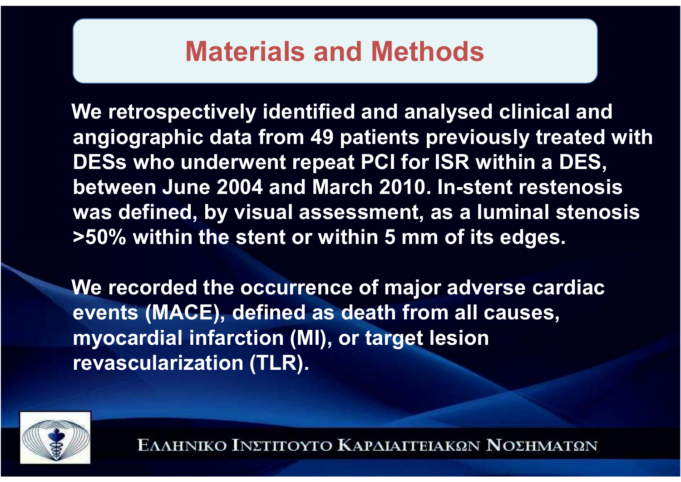### **Materials and Methods**

**We retrospectively identified and analysed clinical and angiographic data from 49 patients previously treated with DESs who underwent repeat PCI for ISR within a DES,between June 2004 and March 2010. In-stent restenosis was defined, by visual assessment, as a luminal stenosis>50% within the stent or within 5 mm of its edges.** 

**We recorded the occurrence of major adverse cardiacevents (MACE), defined as death from all causes, myocardial infarction (MI), or target lesion revascularization (TLR).** 

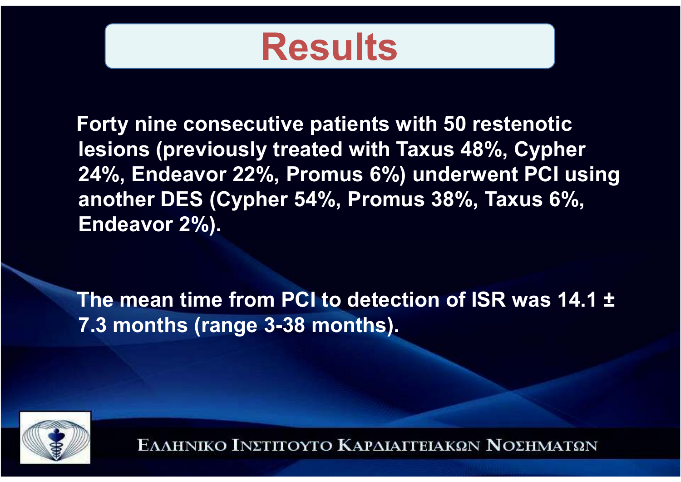

**Forty nine consecutive patients with 50 restenotic lesions (previously treated with Taxus 48%, Cypher 24%, Endeavor 22%, Promus 6%) underwent PCI using another DES (Cypher 54%, Promus 38%, Taxus 6%, Endeavor 2%).**

**The mean time from PCI to detection of ISR was 14.1 ±7.3 months (range 3-38 months).** 

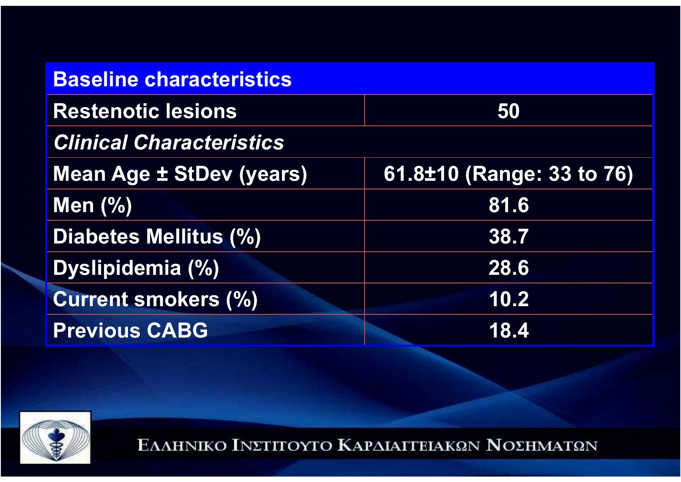| <b>Baseline characteristics</b> |                           |  |
|---------------------------------|---------------------------|--|
| <b>Restenotic lesions</b>       | 50                        |  |
| <b>Clinical Characteristics</b> |                           |  |
| <b>Mean Age ± StDev (years)</b> | 61.8±10 (Range: 33 to 76) |  |
| Men $(\%)$                      | 81.6                      |  |
| Diabetes Mellitus (%)           | 38.7                      |  |
| <b>Dyslipidemia (%)</b>         | 28.6                      |  |
| <b>Current smokers (%)</b>      | 10.2                      |  |
| <b>Previous CABG</b>            | 18.4                      |  |

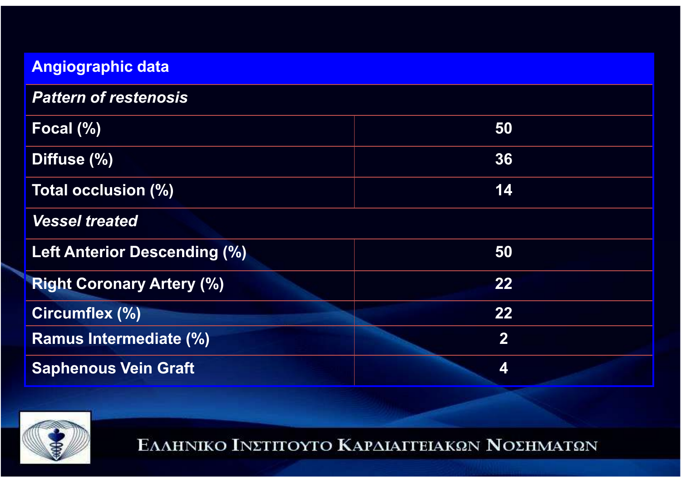| <b>Angiographic data</b>            |                  |
|-------------------------------------|------------------|
| <b>Pattern of restenosis</b>        |                  |
| Focal (%)                           | 50               |
| Diffuse (%)                         | 36               |
| Total occlusion (%)                 | 14               |
| <b>Vessel treated</b>               |                  |
| <b>Left Anterior Descending (%)</b> | 50               |
| <b>Right Coronary Artery (%)</b>    | 22               |
| Circumflex (%)                      | 22               |
| <b>Ramus Intermediate (%)</b>       | $\boldsymbol{2}$ |
| <b>Saphenous Vein Graft</b>         | 4                |

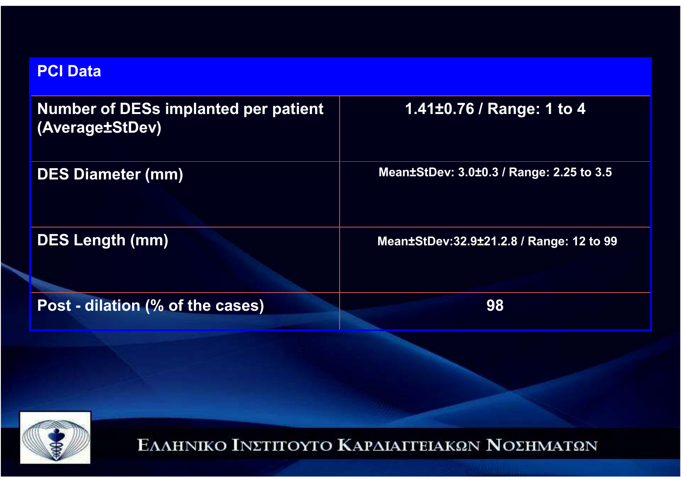#### **PCI Data**

| <b>Number of DESs implanted per patient</b><br>(Average±StDev) | 1.41±0.76 / Range: 1 to 4                |
|----------------------------------------------------------------|------------------------------------------|
| <b>DES Diameter (mm)</b>                                       | Mean±StDev: 3.0±0.3 / Range: 2.25 to 3.5 |
| <b>DES Length (mm)</b>                                         | Mean±StDev:32.9±21.2.8 / Range: 12 to 99 |
| Post - dilation (% of the cases)                               | 98                                       |

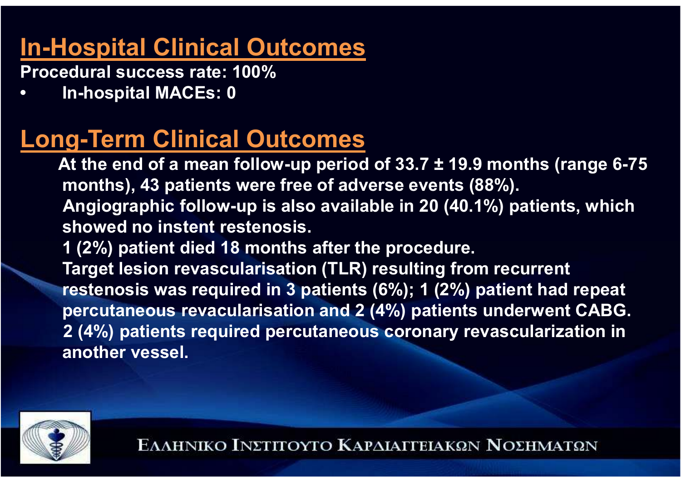### **In-Hospital Clinical Outcomes**

**Procedural success rate: 100%** 

**• In-hospital MACEs: 0** 

### **Long-Term Clinical Outcomes**

 **At the end of a mean follow-up period of 33.7 ± 19.9 months (range 6-75 months), 43 patients were free of adverse events (88%).Angiographic follow-up is also available in 20 (40.1%) patients, which showed no instent restenosis.** 

**1 (2%) patient died 18 months after the procedure.**

**Target lesion revascularisation (TLR) resulting from recurrent restenosis was required in 3 patients (6%); 1 (2%) patient had repeat percutaneous revacularisation and 2 (4%) patients underwent CABG. 2 (4%) patients required percutaneous coronary revascularization in another vessel.**

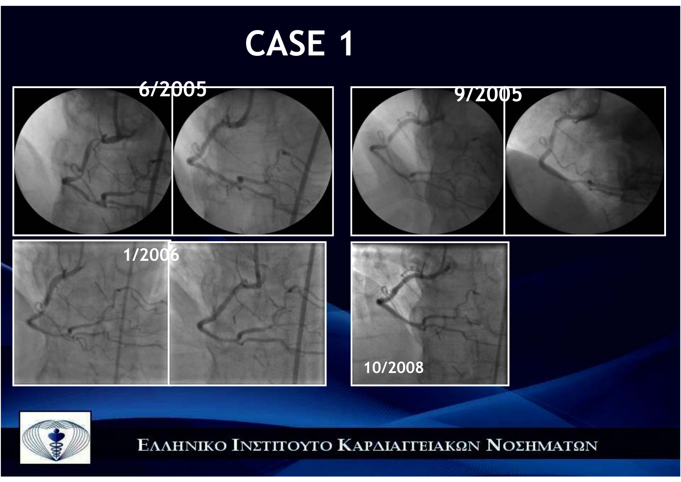# **CASE 1**



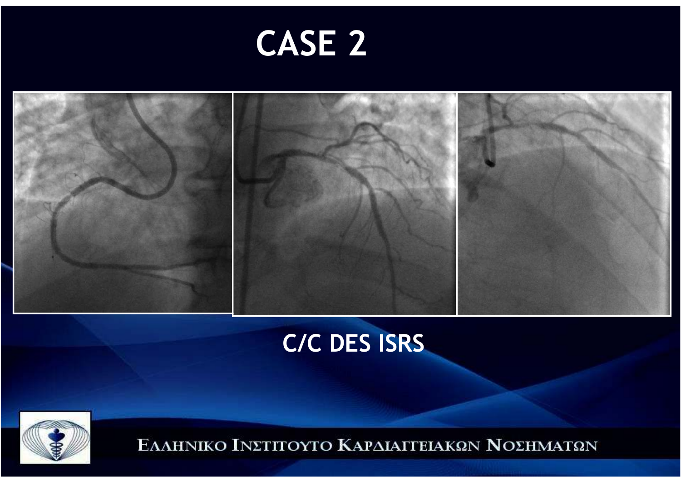



### **C/C DES ISRS**

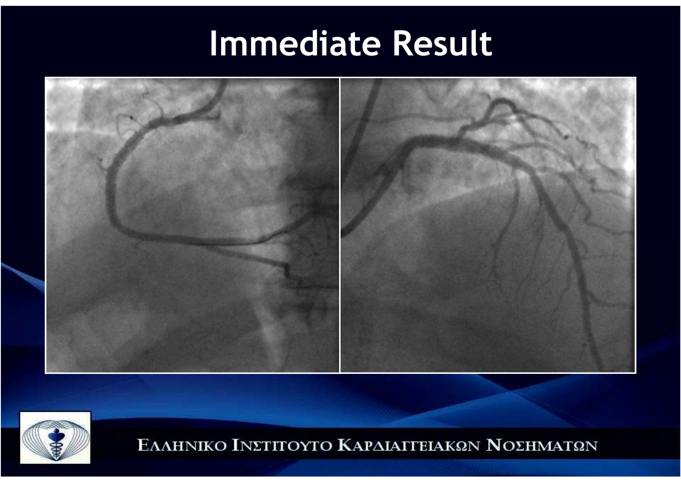# **Immediate Result**



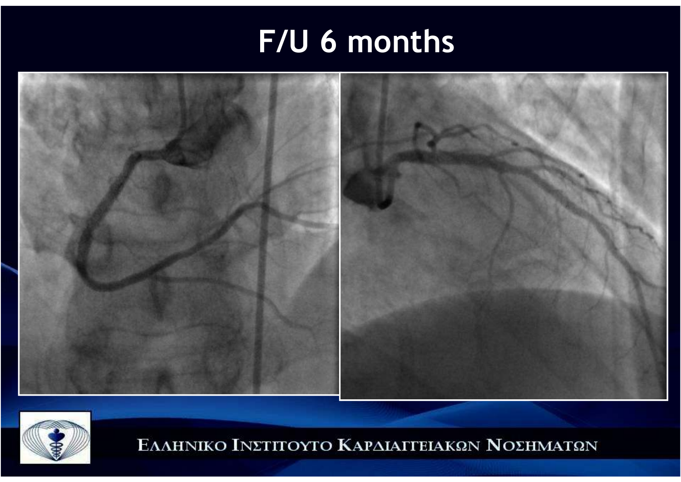## **F/U 6 months**